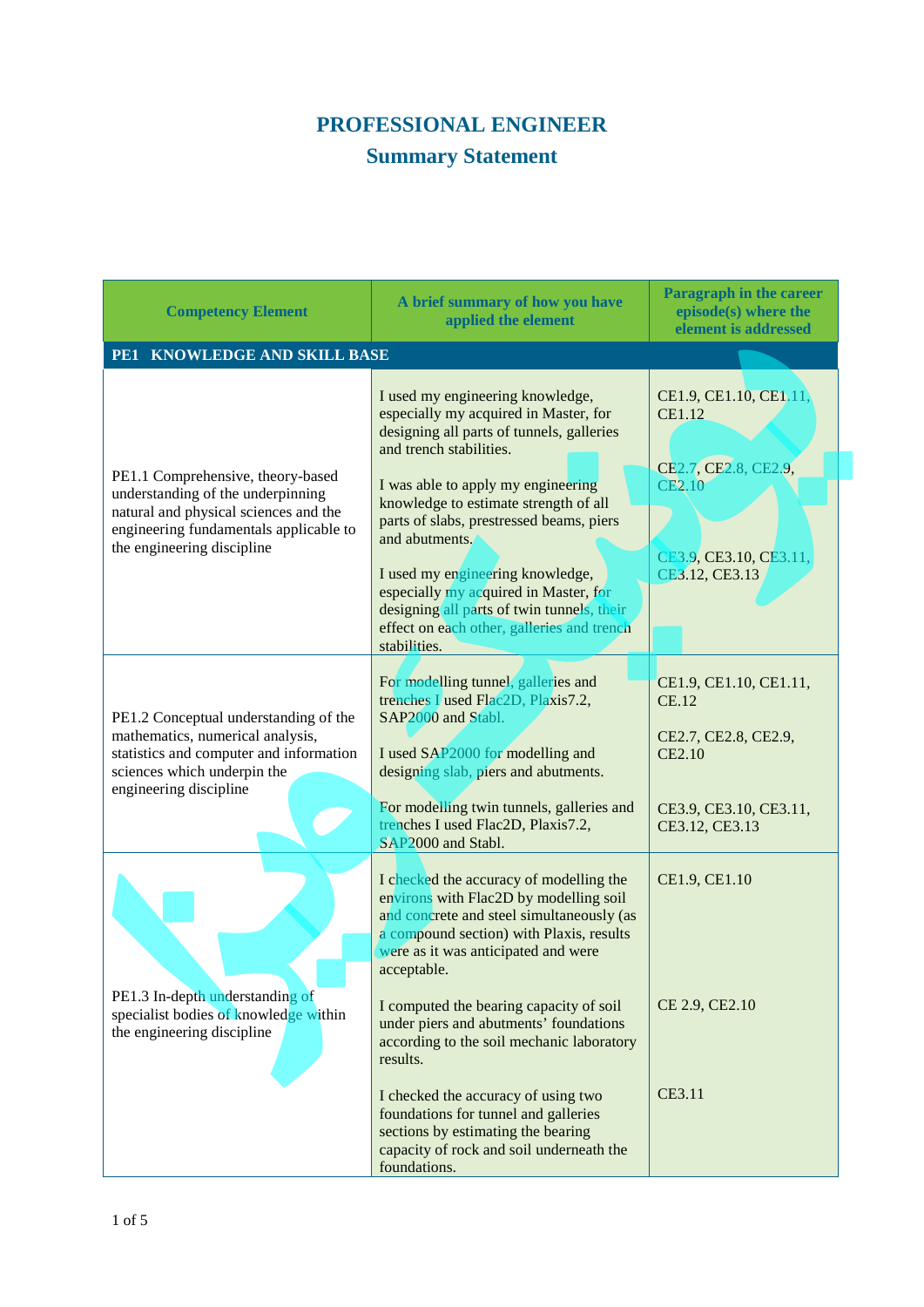## **PROFESSIONAL ENGINEER**

## **Summary Statement**

| <b>Competency Element</b>                                                                                                                                                               | A brief summary of how you have<br>applied the element                                                                                                                                                                                                                                                                                                                                                                                                                                  | <b>Paragraph in the career</b><br>episode(s) where the<br>element is addressed                                       |
|-----------------------------------------------------------------------------------------------------------------------------------------------------------------------------------------|-----------------------------------------------------------------------------------------------------------------------------------------------------------------------------------------------------------------------------------------------------------------------------------------------------------------------------------------------------------------------------------------------------------------------------------------------------------------------------------------|----------------------------------------------------------------------------------------------------------------------|
| <b>KNOWLEDGE AND SKILL BASE</b><br>PE1                                                                                                                                                  |                                                                                                                                                                                                                                                                                                                                                                                                                                                                                         |                                                                                                                      |
| PE1.1 Comprehensive, theory-based<br>understanding of the underpinning<br>natural and physical sciences and the<br>engineering fundamentals applicable to<br>the engineering discipline | I used my engineering knowledge,<br>especially my acquired in Master, for<br>designing all parts of tunnels, galleries<br>and trench stabilities.<br>I was able to apply my engineering<br>knowledge to estimate strength of all<br>parts of slabs, prestressed beams, piers<br>and abutments.<br>I used my engineering knowledge,<br>especially my acquired in Master, for<br>designing all parts of twin tunnels, their<br>effect on each other, galleries and trench<br>stabilities. | CE1.9, CE1.10, CE1.11<br><b>CE1.12</b><br>CE2.7, CE2.8, CE2.9,<br>CE2.10<br>CE3.9, CE3.10, CE3.11,<br>CE3.12, CE3.13 |
| PE1.2 Conceptual understanding of the<br>mathematics, numerical analysis,<br>statistics and computer and information<br>sciences which underpin the<br>engineering discipline           | For modelling tunnel, galleries and<br>trenches I used Flac2D, Plaxis7.2,<br>SAP2000 and Stabl.<br>I used SAP2000 for modelling and<br>designing slab, piers and abutments.<br>For modelling twin tunnels, galleries and<br>trenches I used Flac2D, Plaxis7.2,<br>SAP2000 and Stabl.                                                                                                                                                                                                    | CE1.9, CE1.10, CE1.11,<br><b>CE.12</b><br>CE2.7, CE2.8, CE2.9,<br>CE2.10<br>CE3.9, CE3.10, CE3.11,<br>CE3.12, CE3.13 |
| PE1.3 In-depth understanding of<br>specialist bodies of knowledge within<br>the engineering discipline                                                                                  | I checked the accuracy of modelling the<br>environs with Flac2D by modelling soil<br>and concrete and steel simultaneously (as<br>a compound section) with Plaxis, results<br>were as it was anticipated and were<br>acceptable.<br>I computed the bearing capacity of soil<br>under piers and abutments' foundations<br>according to the soil mechanic laboratory<br>results.                                                                                                          | CE1.9, CE1.10<br>CE 2.9, CE2.10                                                                                      |
|                                                                                                                                                                                         | I checked the accuracy of using two<br>foundations for tunnel and galleries<br>sections by estimating the bearing<br>capacity of rock and soil underneath the<br>foundations.                                                                                                                                                                                                                                                                                                           | CE3.11                                                                                                               |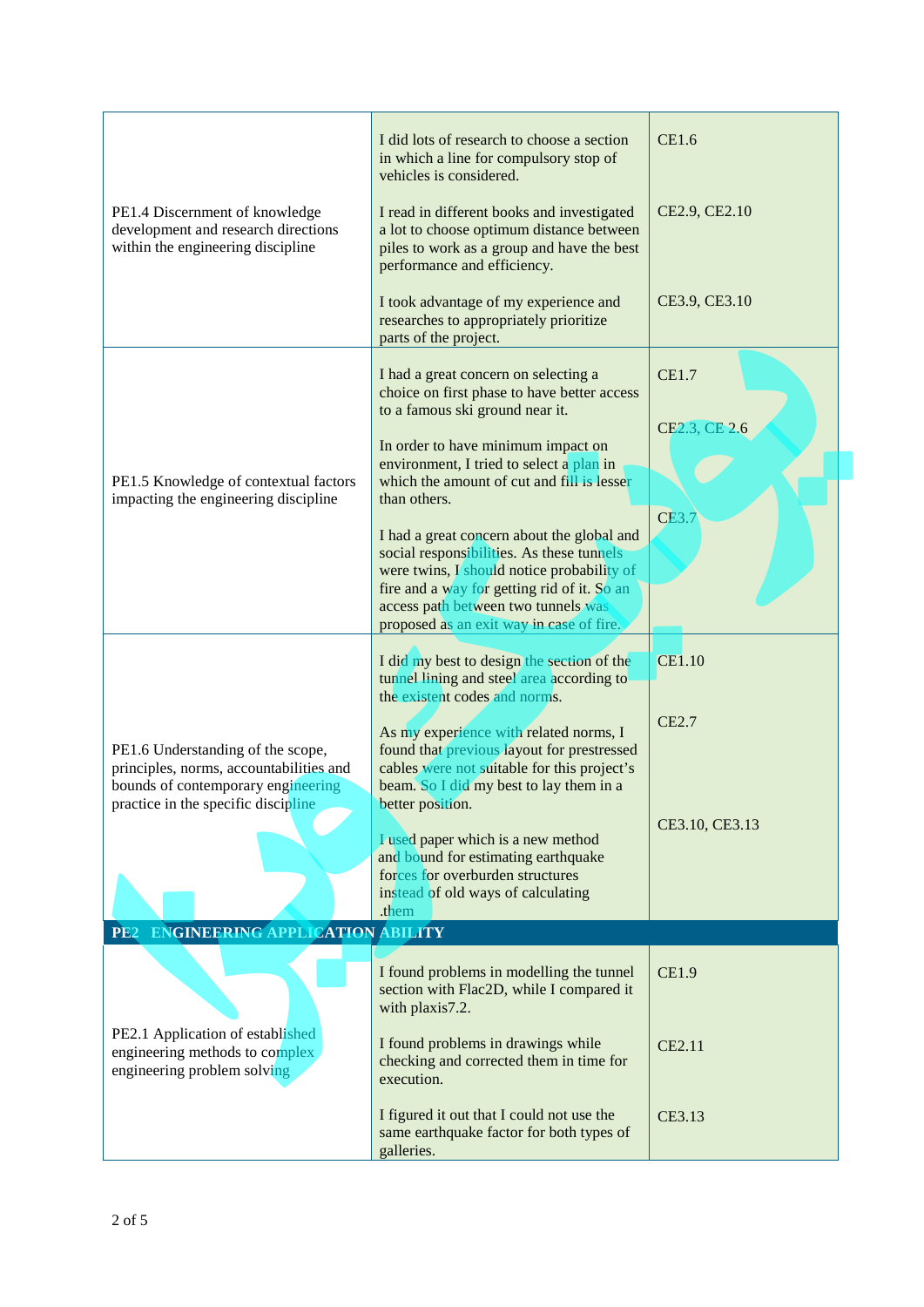| PE1.4 Discernment of knowledge<br>development and research directions<br>within the engineering discipline                                                | I did lots of research to choose a section<br>in which a line for compulsory stop of<br>vehicles is considered.<br>I read in different books and investigated<br>a lot to choose optimum distance between<br>piles to work as a group and have the best<br>performance and efficiency. | CE1.6<br>CE2.9, CE2.10        |  |
|-----------------------------------------------------------------------------------------------------------------------------------------------------------|----------------------------------------------------------------------------------------------------------------------------------------------------------------------------------------------------------------------------------------------------------------------------------------|-------------------------------|--|
|                                                                                                                                                           | I took advantage of my experience and<br>researches to appropriately prioritize<br>parts of the project.                                                                                                                                                                               | CE3.9, CE3.10                 |  |
|                                                                                                                                                           | I had a great concern on selecting a<br>choice on first phase to have better access<br>to a famous ski ground near it.<br>In order to have minimum impact on                                                                                                                           | <b>CE1.7</b><br>CE2.3, CE 2.6 |  |
| PE1.5 Knowledge of contextual factors<br>impacting the engineering discipline                                                                             | environment, I tried to select a plan in<br>which the amount of cut and fill is lesser<br>than others.                                                                                                                                                                                 | <b>CE3.</b>                   |  |
|                                                                                                                                                           | I had a great concern about the global and<br>social responsibilities. As these tunnels<br>were twins, I should notice probability of<br>fire and a way for getting rid of it. So an<br>access path between two tunnels was<br>proposed as an exit way in case of fire.                |                               |  |
|                                                                                                                                                           | I did my best to design the section of the<br>tunnel lining and steel area according to                                                                                                                                                                                                | <b>CE1.10</b>                 |  |
| PE1.6 Understanding of the scope,<br>principles, norms, accountabilities and<br>bounds of contemporary engineering<br>practice in the specific discipline | the existent codes and norms.<br>As my experience with related norms, I<br>found that previous layout for prestressed<br>cables were not suitable for this project's                                                                                                                   | CE2.7                         |  |
|                                                                                                                                                           | beam. So I did my best to lay them in a<br>better position.<br>I used paper which is a new method<br>and bound for estimating earthquake<br>forces for overburden structures<br>instead of old ways of calculating<br>.them                                                            | CE3.10, CE3.13                |  |
| ENGINEERING APPLICATION ABILITY<br><b>PE2</b>                                                                                                             |                                                                                                                                                                                                                                                                                        |                               |  |
|                                                                                                                                                           | I found problems in modelling the tunnel<br>section with Flac2D, while I compared it<br>with plaxis7.2.                                                                                                                                                                                | <b>CE1.9</b>                  |  |
| PE2.1 Application of established<br>engineering methods to complex<br>engineering problem solving                                                         | I found problems in drawings while<br>checking and corrected them in time for<br>execution.                                                                                                                                                                                            | CE2.11                        |  |
|                                                                                                                                                           | I figured it out that I could not use the<br>same earthquake factor for both types of<br>galleries.                                                                                                                                                                                    | CE3.13                        |  |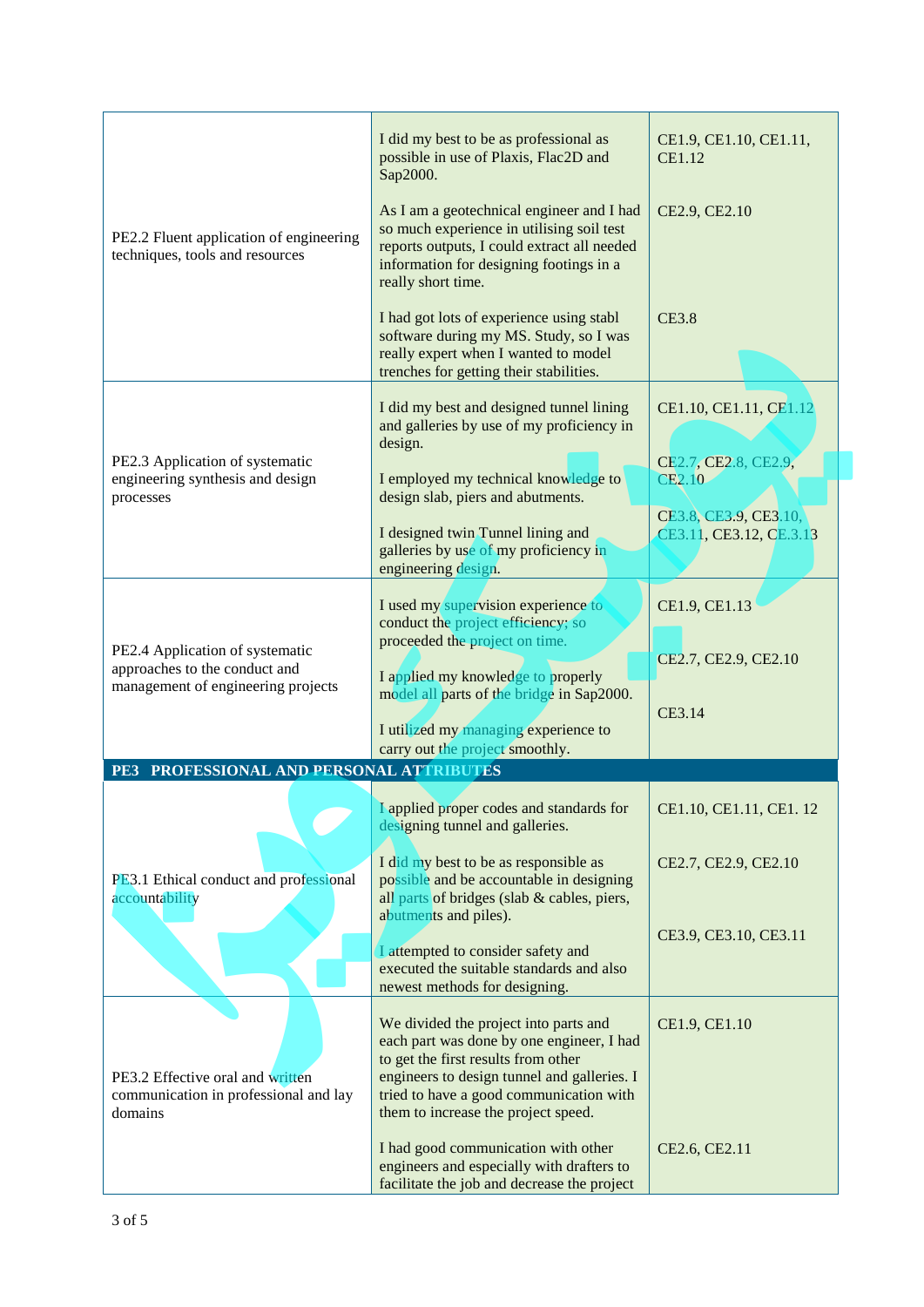|                                                                                                        | I did my best to be as professional as<br>possible in use of Plaxis, Flac2D and<br>Sap2000.                                                                                                            | CE1.9, CE1.10, CE1.11,<br><b>CE1.12</b>          |
|--------------------------------------------------------------------------------------------------------|--------------------------------------------------------------------------------------------------------------------------------------------------------------------------------------------------------|--------------------------------------------------|
| PE2.2 Fluent application of engineering<br>techniques, tools and resources                             | As I am a geotechnical engineer and I had<br>so much experience in utilising soil test<br>reports outputs, I could extract all needed<br>information for designing footings in a<br>really short time. | CE2.9, CE2.10                                    |
|                                                                                                        | I had got lots of experience using stabl<br>software during my MS. Study, so I was<br>really expert when I wanted to model<br>trenches for getting their stabilities.                                  | <b>CE3.8</b>                                     |
| PE2.3 Application of systematic                                                                        | I did my best and designed tunnel lining<br>and galleries by use of my proficiency in<br>design.                                                                                                       | CE1.10, CE1.11, CE1.12<br>CE2.7, CE2.8, CE2.9,   |
| engineering synthesis and design<br>processes                                                          | I employed my technical knowledge to<br>design slab, piers and abutments.                                                                                                                              | CE2.10                                           |
|                                                                                                        | I designed twin Tunnel lining and<br>galleries by use of my proficiency in<br>engineering design.                                                                                                      | CE3.8, CE3.9, CE3.10,<br>CE3.11, CE3.12, CE.3.13 |
| PE2.4 Application of systematic<br>approaches to the conduct and<br>management of engineering projects | I used my supervision experience to<br>conduct the project efficiency; so<br>proceeded the project on time.                                                                                            | CE1.9, CE1.13                                    |
|                                                                                                        | I applied my knowledge to properly<br>model all parts of the bridge in Sap2000.<br>I utilized my managing experience to                                                                                | CE2.7, CE2.9, CE2.10<br>CE3.14                   |
| PROFESSIONAL AND PERSONAL ATTRIBUTES<br>PE3                                                            | carry out the project smoothly.                                                                                                                                                                        |                                                  |
|                                                                                                        | I applied proper codes and standards for<br>designing tunnel and galleries.                                                                                                                            | CE1.10, CE1.11, CE1.12                           |
| PE3.1 Ethical conduct and professional<br>accountability                                               | I did my best to be as responsible as<br>possible and be accountable in designing<br>all parts of bridges (slab & cables, piers,                                                                       | CE2.7, CE2.9, CE2.10                             |
|                                                                                                        | abutments and piles).<br>I attempted to consider safety and<br>executed the suitable standards and also<br>newest methods for designing.                                                               | CE3.9, CE3.10, CE3.11                            |
| PE3.2 Effective oral and written                                                                       | We divided the project into parts and<br>each part was done by one engineer, I had<br>to get the first results from other<br>engineers to design tunnel and galleries. I                               | CE1.9, CE1.10                                    |
| communication in professional and lay<br>domains                                                       | tried to have a good communication with<br>them to increase the project speed.                                                                                                                         |                                                  |
|                                                                                                        | I had good communication with other<br>engineers and especially with drafters to<br>facilitate the job and decrease the project                                                                        | CE2.6, CE2.11                                    |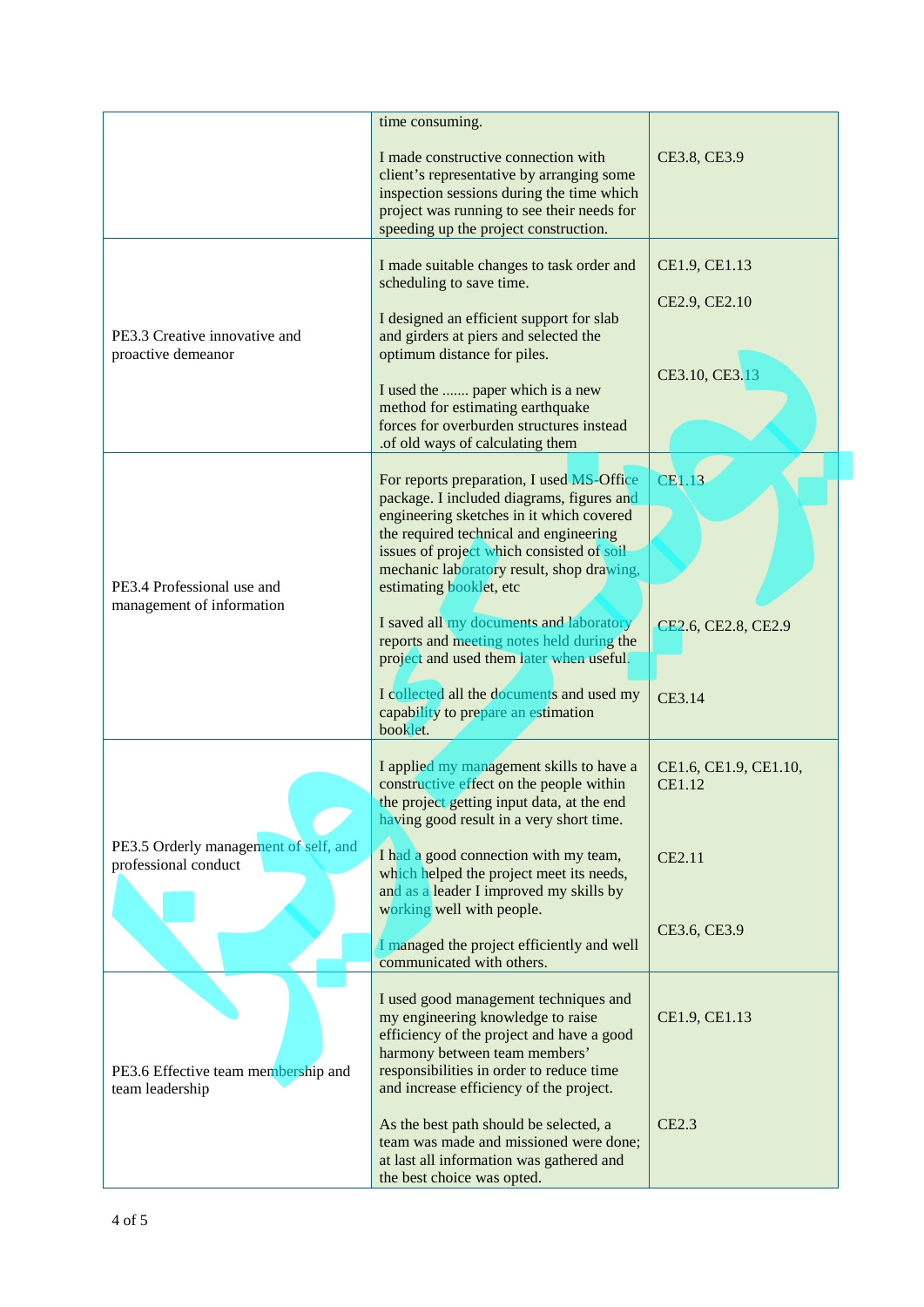|                                                               | time consuming.                                                                                                                                                                                                                                                                                                                                                                                                                                                                    |                                                  |
|---------------------------------------------------------------|------------------------------------------------------------------------------------------------------------------------------------------------------------------------------------------------------------------------------------------------------------------------------------------------------------------------------------------------------------------------------------------------------------------------------------------------------------------------------------|--------------------------------------------------|
|                                                               | I made constructive connection with<br>client's representative by arranging some<br>inspection sessions during the time which<br>project was running to see their needs for<br>speeding up the project construction.                                                                                                                                                                                                                                                               | CE3.8, CE3.9                                     |
| PE3.3 Creative innovative and<br>proactive demeanor           | I made suitable changes to task order and<br>scheduling to save time.<br>I designed an efficient support for slab<br>and girders at piers and selected the<br>optimum distance for piles.<br>I used the  paper which is a new<br>method for estimating earthquake<br>forces for overburden structures instead<br>.of old ways of calculating them                                                                                                                                  | CE1.9, CE1.13<br>CE2.9, CE2.10<br>CE3.10, CE3.13 |
| PE3.4 Professional use and<br>management of information       | For reports preparation, I used MS-Office<br>package. I included diagrams, figures and<br>engineering sketches in it which covered<br>the required technical and engineering<br>issues of project which consisted of soil<br>mechanic laboratory result, shop drawing,<br>estimating booklet, etc<br>I saved all my documents and laboratory<br>reports and meeting notes held during the<br>project and used them later when useful.<br>I collected all the documents and used my | CE1.13<br>CE2.6, CE2.8, CE2.9<br>CE3.14          |
|                                                               | capability to prepare an estimation<br>booklet.<br>I applied my management skills to have a<br>constructive effect on the people within<br>the project getting input data, at the end<br>having good result in a very short time.                                                                                                                                                                                                                                                  | CE1.6, CE1.9, CE1.10,<br><b>CE1.12</b>           |
| PE3.5 Orderly management of self, and<br>professional conduct | I had a good connection with my team,<br>which helped the project meet its needs,<br>and as a leader I improved my skills by<br>working well with people.<br>I managed the project efficiently and well<br>communicated with others.                                                                                                                                                                                                                                               | CE2.11<br>CE3.6, CE3.9                           |
| PE3.6 Effective team membership and<br>team leadership        | I used good management techniques and<br>my engineering knowledge to raise<br>efficiency of the project and have a good<br>harmony between team members'<br>responsibilities in order to reduce time<br>and increase efficiency of the project.                                                                                                                                                                                                                                    | CE1.9, CE1.13                                    |
|                                                               | As the best path should be selected, a<br>team was made and missioned were done;<br>at last all information was gathered and<br>the best choice was opted.                                                                                                                                                                                                                                                                                                                         | <b>CE2.3</b>                                     |